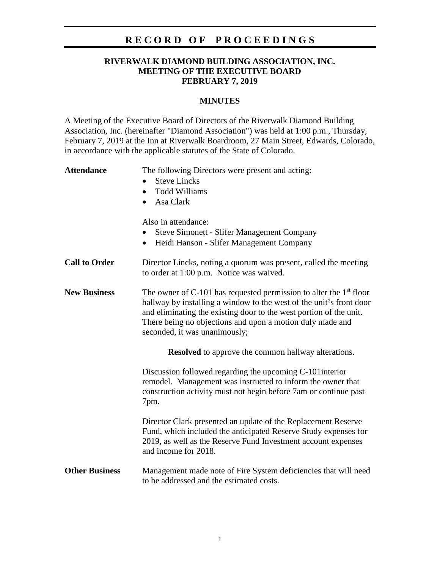### **R E C O R D O F P R O C E E D I N G S**

### **RIVERWALK DIAMOND BUILDING ASSOCIATION, INC. MEETING OF THE EXECUTIVE BOARD FEBRUARY 7, 2019**

#### **MINUTES**

A Meeting of the Executive Board of Directors of the Riverwalk Diamond Building Association, Inc. (hereinafter "Diamond Association") was held at 1:00 p.m., Thursday, February 7, 2019 at the Inn at Riverwalk Boardroom, 27 Main Street, Edwards, Colorado, in accordance with the applicable statutes of the State of Colorado.

# Attendance The following Directors were present and acting: • Steve Lincks • Todd Williams • Asa Clark Also in attendance: • Steve Simonett - Slifer Management Company • Heidi Hanson - Slifer Management Company **Call to Order** Director Lincks, noting a quorum was present, called the meeting to order at 1:00 p.m. Notice was waived. **New Business** The owner of C-101 has requested permission to alter the 1<sup>st</sup> floor hallway by installing a window to the west of the unit's front door and eliminating the existing door to the west portion of the unit. There being no objections and upon a motion duly made and seconded, it was unanimously; **Resolved** to approve the common hallway alterations. Discussion followed regarding the upcoming C-101interior remodel. Management was instructed to inform the owner that construction activity must not begin before 7am or continue past 7pm. Director Clark presented an update of the Replacement Reserve Fund, which included the anticipated Reserve Study expenses for 2019, as well as the Reserve Fund Investment account expenses and income for 2018. **Other Business** Management made note of Fire System deficiencies that will need to be addressed and the estimated costs.